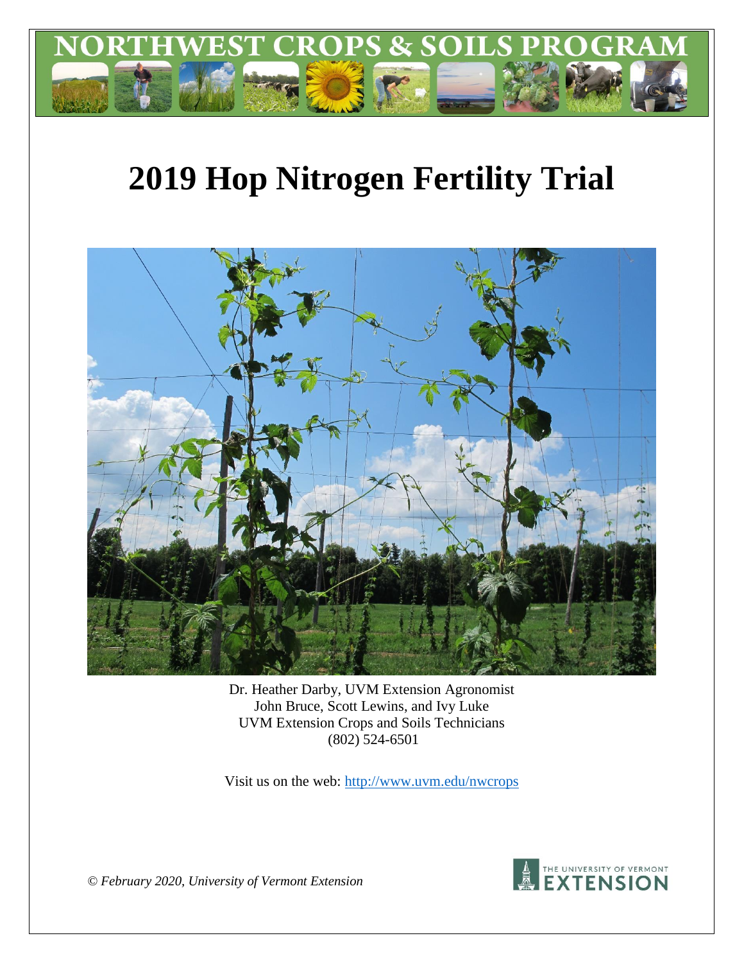

# **2019 Hop Nitrogen Fertility Trial**



Dr. Heather Darby, UVM Extension Agronomist John Bruce, Scott Lewins, and Ivy Luke UVM Extension Crops and Soils Technicians (802) 524-6501

Visit us on the web:<http://www.uvm.edu/nwcrops>



*© February 2020, University of Vermont Extension*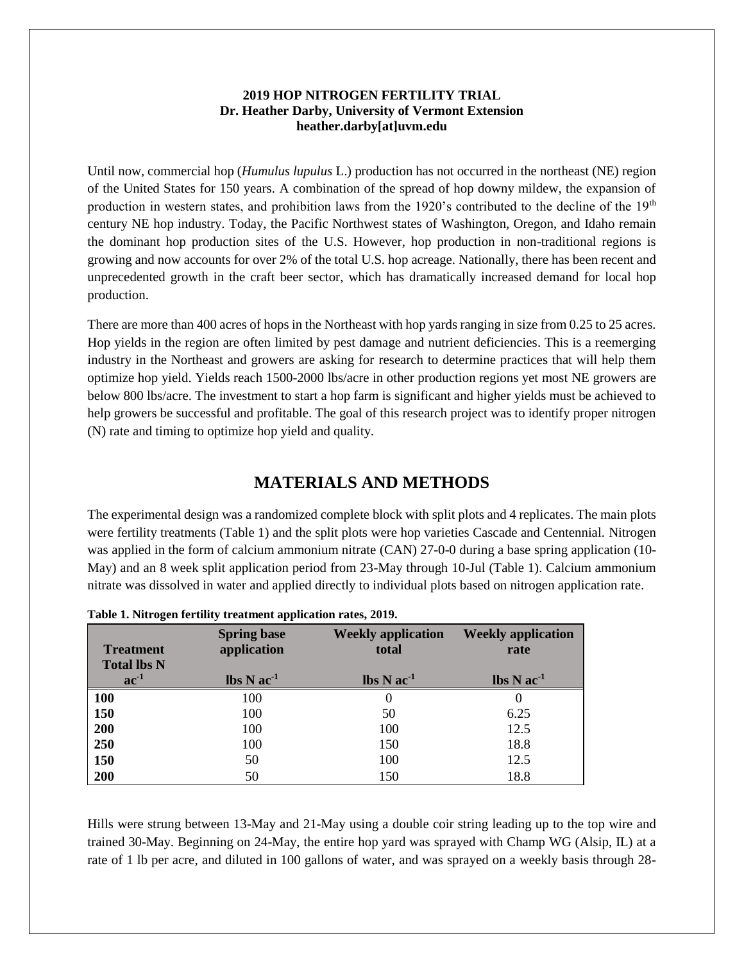#### **2019 HOP NITROGEN FERTILITY TRIAL Dr. Heather Darby, University of Vermont Extension heather.darby[at]uvm.edu**

Until now, commercial hop (*Humulus lupulus* L.) production has not occurred in the northeast (NE) region of the United States for 150 years. A combination of the spread of hop downy mildew, the expansion of production in western states, and prohibition laws from the 1920's contributed to the decline of the 19<sup>th</sup> century NE hop industry. Today, the Pacific Northwest states of Washington, Oregon, and Idaho remain the dominant hop production sites of the U.S. However, hop production in non-traditional regions is growing and now accounts for over 2% of the total U.S. hop acreage. Nationally, there has been recent and unprecedented growth in the craft beer sector, which has dramatically increased demand for local hop production.

There are more than 400 acres of hops in the Northeast with hop yards ranging in size from 0.25 to 25 acres. Hop yields in the region are often limited by pest damage and nutrient deficiencies. This is a reemerging industry in the Northeast and growers are asking for research to determine practices that will help them optimize hop yield. Yields reach 1500-2000 lbs/acre in other production regions yet most NE growers are below 800 lbs/acre. The investment to start a hop farm is significant and higher yields must be achieved to help growers be successful and profitable. The goal of this research project was to identify proper nitrogen (N) rate and timing to optimize hop yield and quality.

## **MATERIALS AND METHODS**

The experimental design was a randomized complete block with split plots and 4 replicates. The main plots were fertility treatments (Table 1) and the split plots were hop varieties Cascade and Centennial. Nitrogen was applied in the form of calcium ammonium nitrate (CAN) 27-0-0 during a base spring application (10- May) and an 8 week split application period from 23-May through 10-Jul (Table 1). Calcium ammonium nitrate was dissolved in water and applied directly to individual plots based on nitrogen application rate.

| <b>Treatment</b><br><b>Total lbs N</b> | <b>Spring base</b><br>application          | <b>Weekly application</b><br>total         | <b>Weekly application</b><br>rate          |
|----------------------------------------|--------------------------------------------|--------------------------------------------|--------------------------------------------|
| $ac^{-1}$                              | $\text{lbs} \, \text{N} \, \text{ac}^{-1}$ | $\text{lbs} \, \text{N} \, \text{ac}^{-1}$ | $\text{lbs} \, \text{N} \, \text{ac}^{-1}$ |
| <b>100</b>                             | 100                                        | O                                          |                                            |
| 150                                    | 100                                        | 50                                         | 6.25                                       |
| 200                                    | 100                                        | 100                                        | 12.5                                       |
| 250                                    | 100                                        | 150                                        | 18.8                                       |
| 150                                    | 50                                         | 100                                        | 12.5                                       |
| 200                                    | 50                                         | 150                                        | 18.8                                       |

**Table 1. Nitrogen fertility treatment application rates, 2019.**

Hills were strung between 13-May and 21-May using a double coir string leading up to the top wire and trained 30-May. Beginning on 24-May, the entire hop yard was sprayed with Champ WG (Alsip, IL) at a rate of 1 lb per acre, and diluted in 100 gallons of water, and was sprayed on a weekly basis through 28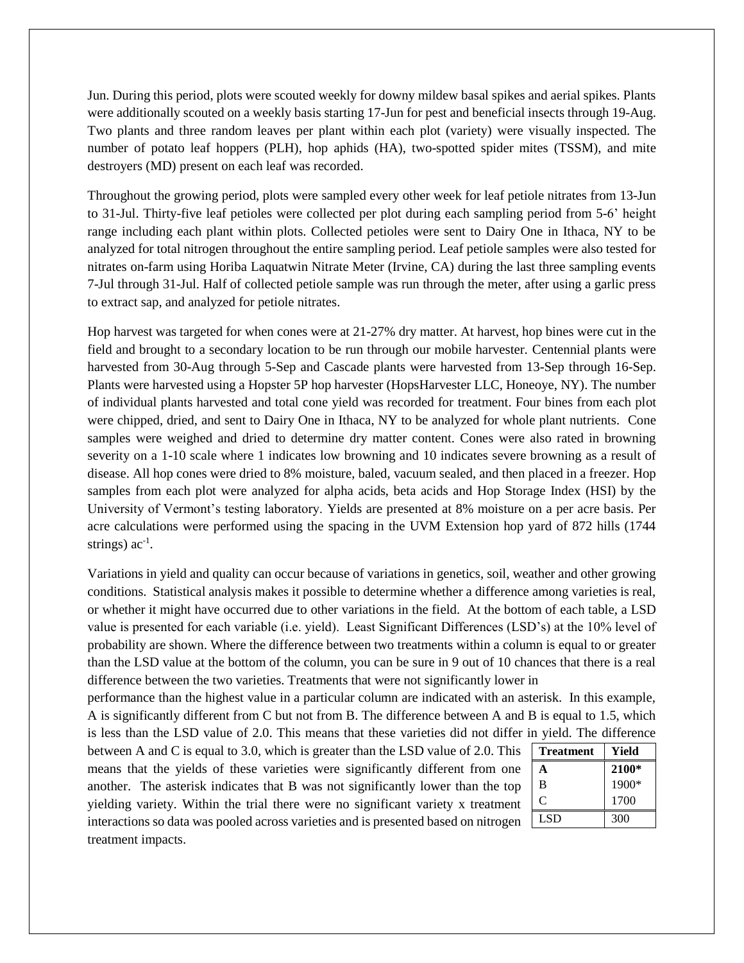Jun. During this period, plots were scouted weekly for downy mildew basal spikes and aerial spikes. Plants were additionally scouted on a weekly basis starting 17-Jun for pest and beneficial insects through 19-Aug. Two plants and three random leaves per plant within each plot (variety) were visually inspected. The number of potato leaf hoppers (PLH), hop aphids (HA), two-spotted spider mites (TSSM), and mite destroyers (MD) present on each leaf was recorded.

Throughout the growing period, plots were sampled every other week for leaf petiole nitrates from 13-Jun to 31-Jul. Thirty-five leaf petioles were collected per plot during each sampling period from 5-6' height range including each plant within plots. Collected petioles were sent to Dairy One in Ithaca, NY to be analyzed for total nitrogen throughout the entire sampling period. Leaf petiole samples were also tested for nitrates on-farm using Horiba Laquatwin Nitrate Meter (Irvine, CA) during the last three sampling events 7-Jul through 31-Jul. Half of collected petiole sample was run through the meter, after using a garlic press to extract sap, and analyzed for petiole nitrates.

Hop harvest was targeted for when cones were at 21-27% dry matter. At harvest, hop bines were cut in the field and brought to a secondary location to be run through our mobile harvester. Centennial plants were harvested from 30-Aug through 5-Sep and Cascade plants were harvested from 13-Sep through 16-Sep. Plants were harvested using a Hopster 5P hop harvester (HopsHarvester LLC, Honeoye, NY). The number of individual plants harvested and total cone yield was recorded for treatment. Four bines from each plot were chipped, dried, and sent to Dairy One in Ithaca, NY to be analyzed for whole plant nutrients. Cone samples were weighed and dried to determine dry matter content. Cones were also rated in browning severity on a 1-10 scale where 1 indicates low browning and 10 indicates severe browning as a result of disease. All hop cones were dried to 8% moisture, baled, vacuum sealed, and then placed in a freezer. Hop samples from each plot were analyzed for alpha acids, beta acids and Hop Storage Index (HSI) by the University of Vermont's testing laboratory. Yields are presented at 8% moisture on a per acre basis. Per acre calculations were performed using the spacing in the UVM Extension hop yard of 872 hills (1744 strings)  $ac^{-1}$ .

Variations in yield and quality can occur because of variations in genetics, soil, weather and other growing conditions. Statistical analysis makes it possible to determine whether a difference among varieties is real, or whether it might have occurred due to other variations in the field. At the bottom of each table, a LSD value is presented for each variable (i.e. yield). Least Significant Differences (LSD's) at the 10% level of probability are shown. Where the difference between two treatments within a column is equal to or greater than the LSD value at the bottom of the column, you can be sure in 9 out of 10 chances that there is a real difference between the two varieties. Treatments that were not significantly lower in

performance than the highest value in a particular column are indicated with an asterisk. In this example, A is significantly different from C but not from B. The difference between A and B is equal to 1.5, which is less than the LSD value of 2.0. This means that these varieties did not differ in yield. The difference

between A and C is equal to 3.0, which is greater than the LSD value of 2.0. This means that the yields of these varieties were significantly different from one another. The asterisk indicates that B was not significantly lower than the top yielding variety. Within the trial there were no significant variety x treatment interactions so data was pooled across varieties and is presented based on nitrogen treatment impacts.

| Treatment | Yield |
|-----------|-------|
| A         | 2100* |
| B         | 1900* |
| C         | 1700  |
| LSD.      | 300   |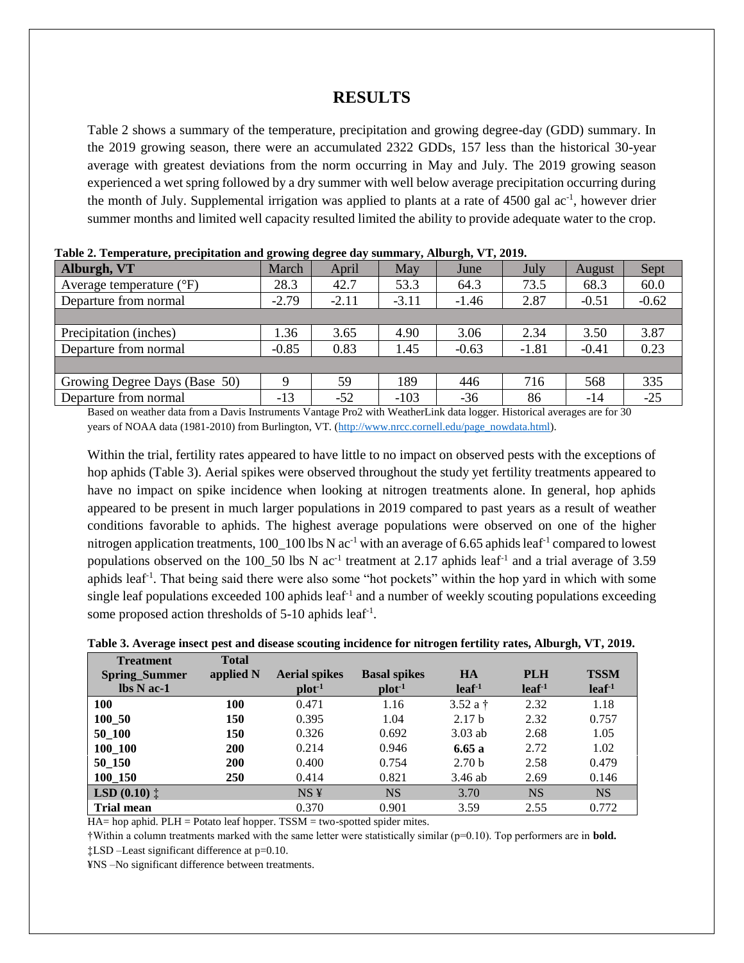## **RESULTS**

Table 2 shows a summary of the temperature, precipitation and growing degree-day (GDD) summary. In the 2019 growing season, there were an accumulated 2322 GDDs, 157 less than the historical 30-year average with greatest deviations from the norm occurring in May and July. The 2019 growing season experienced a wet spring followed by a dry summer with well below average precipitation occurring during the month of July. Supplemental irrigation was applied to plants at a rate of 4500 gal ac<sup>-1</sup>, however drier summer months and limited well capacity resulted limited the ability to provide adequate water to the crop.

| Alburgh, VT                       | March   | April   | May     | June    | July    | August  | Sept    |
|-----------------------------------|---------|---------|---------|---------|---------|---------|---------|
| Average temperature $(^{\circ}F)$ | 28.3    | 42.7    | 53.3    | 64.3    | 73.5    | 68.3    | 60.0    |
| Departure from normal             | $-2.79$ | $-2.11$ | $-3.11$ | $-1.46$ | 2.87    | $-0.51$ | $-0.62$ |
|                                   |         |         |         |         |         |         |         |
| Precipitation (inches)            | 1.36    | 3.65    | 4.90    | 3.06    | 2.34    | 3.50    | 3.87    |
| Departure from normal             | $-0.85$ | 0.83    | 1.45    | $-0.63$ | $-1.81$ | $-0.41$ | 0.23    |
|                                   |         |         |         |         |         |         |         |
| Growing Degree Days (Base 50)     | Q       | 59      | 189     | 446     | 716     | 568     | 335     |
| Departure from normal             | $-13$   | $-52$   | $-103$  | $-36$   | 86      | $-14$   | $-25$   |

| Table 2. Temperature, precipitation and growing degree day summary, Alburgh, VT, 2019. |  |  |  |  |  |  |  |
|----------------------------------------------------------------------------------------|--|--|--|--|--|--|--|
|----------------------------------------------------------------------------------------|--|--|--|--|--|--|--|

Based on weather data from a Davis Instruments Vantage Pro2 with WeatherLink data logger. Historical averages are for 30 years of NOAA data (1981-2010) from Burlington, VT. [\(http://www.nrcc.cornell.edu/page\\_nowdata.html\)](http://www.nrcc.cornell.edu/page_nowdata.html).

Within the trial, fertility rates appeared to have little to no impact on observed pests with the exceptions of hop aphids (Table 3). Aerial spikes were observed throughout the study yet fertility treatments appeared to have no impact on spike incidence when looking at nitrogen treatments alone. In general, hop aphids appeared to be present in much larger populations in 2019 compared to past years as a result of weather conditions favorable to aphids. The highest average populations were observed on one of the higher nitrogen application treatments, 100\_100 lbs N ac<sup>-1</sup> with an average of 6.65 aphids leaf<sup>-1</sup> compared to lowest populations observed on the 100\_50 lbs N  $ac^{-1}$  treatment at 2.17 aphids leaf<sup>-1</sup> and a trial average of 3.59 aphids leaf<sup>-1</sup>. That being said there were also some "hot pockets" within the hop yard in which with some single leaf populations exceeded 100 aphids leaf<sup>-1</sup> and a number of weekly scouting populations exceeding some proposed action thresholds of 5-10 aphids leaf<sup>-1</sup>.

| Table 3. Average insect pest and disease scouting incidence for nitrogen fertility rates, Alburgh, VT, 2019. |  |  |
|--------------------------------------------------------------------------------------------------------------|--|--|
|                                                                                                              |  |  |

| <b>Treatment</b>               | <b>Total</b> |                      |                     |                   |                   |                   |
|--------------------------------|--------------|----------------------|---------------------|-------------------|-------------------|-------------------|
| <b>Spring_Summer</b>           | applied N    | <b>Aerial spikes</b> | <b>Basal spikes</b> | <b>HA</b>         | <b>PLH</b>        | <b>TSSM</b>       |
| $\mathbf{lbs} \mathbf{N}$ ac-1 |              | $plot-1$             | $plot-1$            | leaf <sup>1</sup> | leaf <sup>1</sup> | leaf <sup>1</sup> |
| <b>100</b>                     | 100          | 0.471                | 1.16                | 3.52 a $\dagger$  | 2.32              | 1.18              |
| 100 50                         | 150          | 0.395                | 1.04                | 2.17 <sub>b</sub> | 2.32              | 0.757             |
| 50 100                         | 150          | 0.326                | 0.692               | $3.03$ ab         | 2.68              | 1.05              |
| 100 100                        | 200          | 0.214                | 0.946               | 6.65a             | 2.72              | 1.02              |
| 50 150                         | 200          | 0.400                | 0.754               | 2.70 <sub>b</sub> | 2.58              | 0.479             |
| 100 150                        | 250          | 0.414                | 0.821               | $3.46$ ab         | 2.69              | 0.146             |
| <b>LSD</b> $(0.10)$ $\ddagger$ |              | NS <sub>Y</sub>      | <b>NS</b>           | 3.70              | <b>NS</b>         | <b>NS</b>         |
| <b>Trial mean</b>              |              | 0.370                | 0.901               | 3.59              | 2.55              | 0.772             |

HA= hop aphid. PLH = Potato leaf hopper. TSSM = two-spotted spider mites.

†Within a column treatments marked with the same letter were statistically similar (p=0.10). Top performers are in **bold.**

‡LSD –Least significant difference at p=0.10.

¥NS –No significant difference between treatments.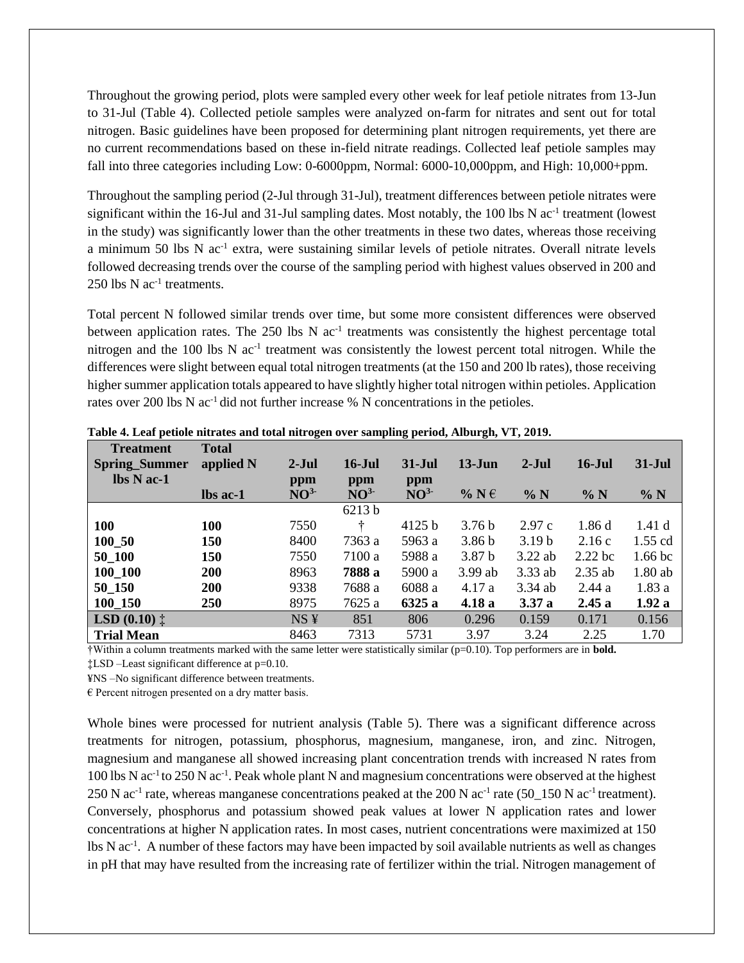Throughout the growing period, plots were sampled every other week for leaf petiole nitrates from 13-Jun to 31-Jul (Table 4). Collected petiole samples were analyzed on-farm for nitrates and sent out for total nitrogen. Basic guidelines have been proposed for determining plant nitrogen requirements, yet there are no current recommendations based on these in-field nitrate readings. Collected leaf petiole samples may fall into three categories including Low: 0-6000ppm, Normal: 6000-10,000ppm, and High: 10,000+ppm.

Throughout the sampling period (2-Jul through 31-Jul), treatment differences between petiole nitrates were significant within the 16-Jul and 31-Jul sampling dates. Most notably, the 100 lbs N ac<sup>-1</sup> treatment (lowest in the study) was significantly lower than the other treatments in these two dates, whereas those receiving a minimum 50 lbs N ac<sup>-1</sup> extra, were sustaining similar levels of petiole nitrates. Overall nitrate levels followed decreasing trends over the course of the sampling period with highest values observed in 200 and  $250$  lbs N ac<sup>-1</sup> treatments.

Total percent N followed similar trends over time, but some more consistent differences were observed between application rates. The 250 lbs N ac<sup>-1</sup> treatments was consistently the highest percentage total nitrogen and the 100 lbs N ac<sup>-1</sup> treatment was consistently the lowest percent total nitrogen. While the differences were slight between equal total nitrogen treatments (at the 150 and 200 lb rates), those receiving higher summer application totals appeared to have slightly higher total nitrogen within petioles. Application rates over 200 lbs N ac<sup>-1</sup> did not further increase % N concentrations in the petioles.

| <b>Treatment</b>                        | <b>Total</b> |                 |                 |                 |                   |                   |           |                     |
|-----------------------------------------|--------------|-----------------|-----------------|-----------------|-------------------|-------------------|-----------|---------------------|
| <b>Spring_Summer</b>                    | applied N    | $2-Jul$         | $16$ -Jul       | $31-Jul$        | $13 - Jun$        | $2-Jul$           | $16$ -Jul | $31 - \mathrm{Jul}$ |
| $\mathbf{lbs} \mathbf{N} \mathbf{ac-1}$ |              | ppm             | ppm             | ppm             |                   |                   |           |                     |
|                                         | $\ln$ ac-1   | NO <sup>3</sup> | NO <sup>3</sup> | NO <sup>3</sup> | $%$ N $\in$       | $\% N$            | % N       | % N                 |
|                                         |              |                 | 6213 b          |                 |                   |                   |           |                     |
| 100                                     | 100          | 7550            | ÷               | 4125 b          | 3.76 <sub>b</sub> | 2.97c             | 1.86d     | 1.41d               |
| 100 50                                  | 150          | 8400            | 7363 a          | 5963 a          | 3.86 <sub>b</sub> | 3.19 <sub>b</sub> | 2.16c     | $1.55$ cd           |
| 50 100                                  | 150          | 7550            | 7100 a          | 5988 a          | 3.87 <sub>b</sub> | 3.22 ab           | $2.22$ bc | $1.66$ bc           |
| 100 100                                 | <b>200</b>   | 8963            | 7888 a          | 5900 a          | $3.99$ ab         | $3.33$ ab         | $2.35$ ab | $1.80$ ab           |
| 50 150                                  | <b>200</b>   | 9338            | 7688 a          | 6088 a          | 4.17 a            | 3.34 ab           | 2.44a     | 1.83a               |
| 100_150                                 | <b>250</b>   | 8975            | 7625 a          | 6325 a          | 4.18 a            | 3.37a             | 2.45a     | 1.92a               |
| <b>LSD</b> $(0.10)$ $\ddagger$          |              | NS <sub>Y</sub> | 851             | 806             | 0.296             | 0.159             | 0.171     | 0.156               |
| <b>Trial Mean</b>                       |              | 8463            | 7313            | 5731            | 3.97              | 3.24              | 2.25      | 1.70                |

**Table 4. Leaf petiole nitrates and total nitrogen over sampling period, Alburgh, VT, 2019.**

†Within a column treatments marked with the same letter were statistically similar (p=0.10). Top performers are in **bold.** ‡LSD –Least significant difference at p=0.10.

¥NS –No significant difference between treatments.

 $\epsilon$  Percent nitrogen presented on a dry matter basis.

Whole bines were processed for nutrient analysis (Table 5). There was a significant difference across treatments for nitrogen, potassium, phosphorus, magnesium, manganese, iron, and zinc. Nitrogen, magnesium and manganese all showed increasing plant concentration trends with increased N rates from 100 lbs N ac<sup>-1</sup> to 250 N ac<sup>-1</sup>. Peak whole plant N and magnesium concentrations were observed at the highest 250 N ac<sup>-1</sup> rate, whereas manganese concentrations peaked at the 200 N ac<sup>-1</sup> rate (50\_150 N ac<sup>-1</sup> treatment). Conversely, phosphorus and potassium showed peak values at lower N application rates and lower concentrations at higher N application rates. In most cases, nutrient concentrations were maximized at 150 lbs N ac<sup>-1</sup>. A number of these factors may have been impacted by soil available nutrients as well as changes in pH that may have resulted from the increasing rate of fertilizer within the trial. Nitrogen management of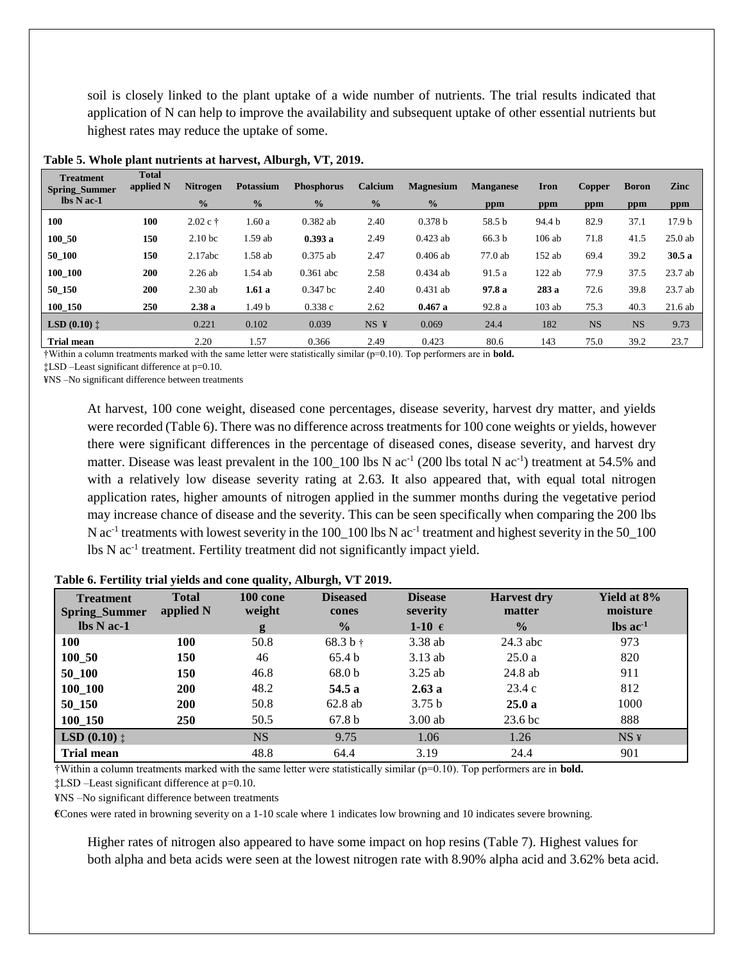soil is closely linked to the plant uptake of a wide number of nutrients. The trial results indicated that application of N can help to improve the availability and subsequent uptake of other essential nutrients but highest rates may reduce the uptake of some.

| <b>Treatment</b><br><b>Spring_Summer</b> | <b>Total</b><br>applied N | <b>Nitrogen</b>    | <b>Potassium</b> | <b>Phosphorus</b> | Calcium       | <b>Magnesium</b> | <b>Manganese</b> | Iron     | <b>Copper</b> | <b>Boron</b> | Zinc              |
|------------------------------------------|---------------------------|--------------------|------------------|-------------------|---------------|------------------|------------------|----------|---------------|--------------|-------------------|
| $\mathbf{lbs} \mathbf{N} \mathbf{ac-1}$  |                           | $\frac{0}{0}$      | $\frac{0}{0}$    | $\frac{0}{0}$     | $\frac{0}{0}$ | $\frac{0}{0}$    | ppm              | ppm      | ppm           | ppm          | ppm               |
| 100                                      | 100                       | $2.02 c \t{t}$     | 1.60a            | $0.382$ ab        | 2.40          | 0.378 b          | 58.5 b           | 94.4 b   | 82.9          | 37.1         | 17.9 <sub>b</sub> |
| 100 50                                   | 150                       | 2.10 <sub>bc</sub> | 1.59 ab          | 0.393a            | 2.49          | $0.423$ ab       | 66.3 b           | $106$ ab | 71.8          | 41.5         | $25.0$ ab         |
| 50_100                                   | 150                       | 2.17abc            | 1.58 ab          | $0.375$ ab        | 2.47          | $0.406$ ab       | 77.0ab           | 152 ab   | 69.4          | 39.2         | 30.5a             |
| 100_100                                  | 200                       | $2.26$ ab          | 1.54 ab          | $0.361$ abc       | 2.58          | $0.434$ ab       | 91.5 a           | $122$ ab | 77.9          | 37.5         | 23.7 ab           |
| 50_150                                   | 200                       | $2.30$ ab          | 1.61a            | $0.347$ bc        | 2.40          | $0.431$ ab       | 97.8 a           | 283a     | 72.6          | 39.8         | 23.7 ab           |
| 100_150                                  | 250                       | 2.38a              | 1.49 b           | 0.338c            | 2.62          | 0.467a           | 92.8 a           | $103$ ab | 75.3          | 40.3         | $21.6$ ab         |
| <b>LSD</b> $(0.10)$ $\ddagger$           |                           | 0.221              | 0.102            | 0.039             | $NS \t{Y}$    | 0.069            | 24.4             | 182      | <b>NS</b>     | <b>NS</b>    | 9.73              |
| <b>Trial mean</b>                        |                           | 2.20               | 1.57             | 0.366             | 2.49          | 0.423            | 80.6             | 143      | 75.0          | 39.2         | 23.7              |

#### **Table 5. Whole plant nutrients at harvest, Alburgh, VT, 2019.**

†Within a column treatments marked with the same letter were statistically similar (p=0.10). Top performers are in **bold.**

‡LSD –Least significant difference at p=0.10.

¥NS –No significant difference between treatments

At harvest, 100 cone weight, diseased cone percentages, disease severity, harvest dry matter, and yields were recorded (Table 6). There was no difference across treatments for 100 cone weights or yields, however there were significant differences in the percentage of diseased cones, disease severity, and harvest dry matter. Disease was least prevalent in the 100\_100 lbs N ac<sup>-1</sup> (200 lbs total N ac<sup>-1</sup>) treatment at 54.5% and with a relatively low disease severity rating at 2.63. It also appeared that, with equal total nitrogen application rates, higher amounts of nitrogen applied in the summer months during the vegetative period may increase chance of disease and the severity. This can be seen specifically when comparing the 200 lbs N ac<sup>-1</sup> treatments with lowest severity in the 100\_100 lbs N ac<sup>-1</sup> treatment and highest severity in the 50\_100 lbs N ac-1 treatment. Fertility treatment did not significantly impact yield.

| <b>Treatment</b><br><b>Spring_Summer</b> | <b>Total</b><br>applied N | 100 cone<br>weight | <b>Diseased</b><br>cones | <b>Disease</b><br>severity | <b>Harvest dry</b><br>matter | Yield at 8%<br>moisture       |
|------------------------------------------|---------------------------|--------------------|--------------------------|----------------------------|------------------------------|-------------------------------|
| $\mathbf{lbs} \mathbf{N}$ ac-1           |                           | g                  | $\frac{0}{2}$            | 1-10 $\epsilon$            | $\frac{0}{0}$                | $\text{lbs}$ ac <sup>-1</sup> |
| 100                                      | 100                       | 50.8               | $68.3 b +$               | 3.38 ab                    | $24.3$ abc                   | 973                           |
| 100 50                                   | 150                       | 46                 | 65.4 b                   | $3.13$ ab                  | 25.0a                        | 820                           |
| 50 100                                   | 150                       | 46.8               | 68.0 <sub>b</sub>        | $3.25$ ab                  | $24.8$ ab                    | 911                           |
| 100 100                                  | <b>200</b>                | 48.2               | 54.5 a                   | 2.63a                      | 23.4c                        | 812                           |
| 50 150                                   | <b>200</b>                | 50.8               | 62.8ab                   | 3.75 <sub>b</sub>          | 25.0a                        | 1000                          |
| 100 150                                  | <b>250</b>                | 50.5               | 67.8 <sub>b</sub>        | $3.00$ ab                  | 23.6 <sub>bc</sub>           | 888                           |
| <b>LSD</b> $(0.10)$ $\ddagger$           |                           | <b>NS</b>          | 9.75                     | 1.06                       | 1.26                         | $NS \n  \n$                   |
| <b>Trial mean</b>                        |                           | 48.8               | 64.4                     | 3.19                       | 24.4                         | 901                           |

#### **Table 6. Fertility trial yields and cone quality, Alburgh, VT 2019.**

†Within a column treatments marked with the same letter were statistically similar (p=0.10). Top performers are in **bold.**

‡LSD –Least significant difference at p=0.10.

¥NS –No significant difference between treatments

**€**Cones were rated in browning severity on a 1-10 scale where 1 indicates low browning and 10 indicates severe browning.

Higher rates of nitrogen also appeared to have some impact on hop resins (Table 7). Highest values for both alpha and beta acids were seen at the lowest nitrogen rate with 8.90% alpha acid and 3.62% beta acid.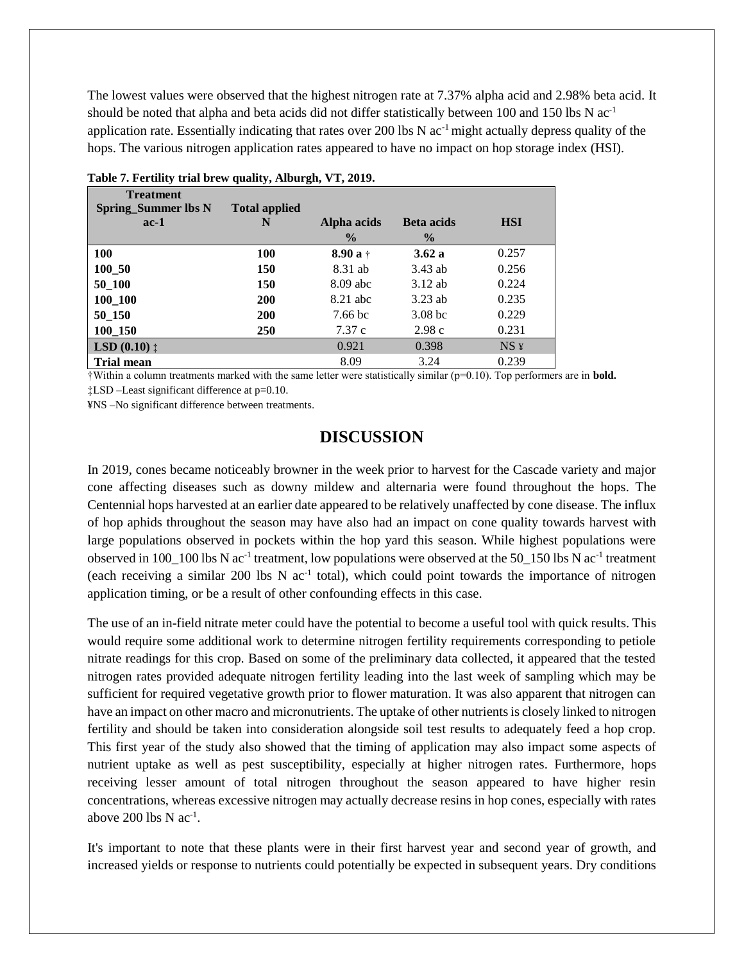The lowest values were observed that the highest nitrogen rate at 7.37% alpha acid and 2.98% beta acid. It should be noted that alpha and beta acids did not differ statistically between 100 and 150 lbs N  $ac^{-1}$ application rate. Essentially indicating that rates over 200 lbs N  $ac<sup>-1</sup>$  might actually depress quality of the hops. The various nitrogen application rates appeared to have no impact on hop storage index (HSI).

| <b>Treatment</b>               |                      |               |                    |             |
|--------------------------------|----------------------|---------------|--------------------|-------------|
| <b>Spring_Summer lbs N</b>     | <b>Total applied</b> |               |                    |             |
| $ac-1$                         | N                    | Alpha acids   | <b>Beta</b> acids  | <b>HSI</b>  |
|                                |                      | $\frac{0}{0}$ | $\frac{0}{0}$      |             |
| <b>100</b>                     | <b>100</b>           | $8.90a+$      | 3.62a              | 0.257       |
| 100 50                         | <b>150</b>           | 8.31 ab       | 3.43 ab            | 0.256       |
| 50 100                         | 150                  | $8.09$ abc    | $3.12$ ab          | 0.224       |
| 100 100                        | 200                  | 8.21 abc      | $3.23$ ab          | 0.235       |
| 50 150                         | <b>200</b>           | 7.66 bc       | 3.08 <sub>bc</sub> | 0.229       |
| 100_150                        | <b>250</b>           | 7.37c         | 2.98c              | 0.231       |
| <b>LSD</b> $(0.10)$ $\ddagger$ |                      | 0.921         | 0.398              | $NS \angle$ |
| <b>Trial mean</b>              |                      | 8.09          | 3.24               | 0.239       |

|  | Table 7. Fertility trial brew quality, Alburgh, VT, 2019. |  |  |
|--|-----------------------------------------------------------|--|--|
|  |                                                           |  |  |

†Within a column treatments marked with the same letter were statistically similar (p=0.10). Top performers are in **bold.** ‡LSD –Least significant difference at p=0.10.

¥NS –No significant difference between treatments.

### **DISCUSSION**

In 2019, cones became noticeably browner in the week prior to harvest for the Cascade variety and major cone affecting diseases such as downy mildew and alternaria were found throughout the hops. The Centennial hops harvested at an earlier date appeared to be relatively unaffected by cone disease. The influx of hop aphids throughout the season may have also had an impact on cone quality towards harvest with large populations observed in pockets within the hop yard this season. While highest populations were observed in 100\_100 lbs N ac<sup>-1</sup> treatment, low populations were observed at the 50\_150 lbs N ac<sup>-1</sup> treatment (each receiving a similar 200 lbs N ac<sup>-1</sup> total), which could point towards the importance of nitrogen application timing, or be a result of other confounding effects in this case.

The use of an in-field nitrate meter could have the potential to become a useful tool with quick results. This would require some additional work to determine nitrogen fertility requirements corresponding to petiole nitrate readings for this crop. Based on some of the preliminary data collected, it appeared that the tested nitrogen rates provided adequate nitrogen fertility leading into the last week of sampling which may be sufficient for required vegetative growth prior to flower maturation. It was also apparent that nitrogen can have an impact on other macro and micronutrients. The uptake of other nutrients is closely linked to nitrogen fertility and should be taken into consideration alongside soil test results to adequately feed a hop crop. This first year of the study also showed that the timing of application may also impact some aspects of nutrient uptake as well as pest susceptibility, especially at higher nitrogen rates. Furthermore, hops receiving lesser amount of total nitrogen throughout the season appeared to have higher resin concentrations, whereas excessive nitrogen may actually decrease resins in hop cones, especially with rates above 200 lbs  $N$  ac<sup>-1</sup>.

It's important to note that these plants were in their first harvest year and second year of growth, and increased yields or response to nutrients could potentially be expected in subsequent years. Dry conditions